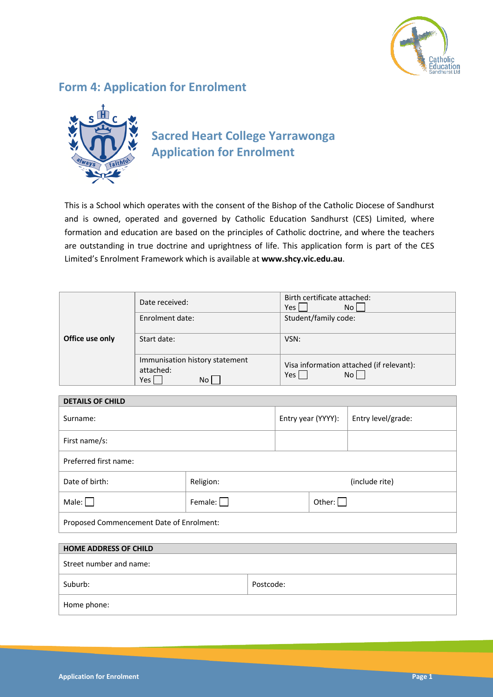

# **Form 4: Application for Enrolment**



# **Sacred Heart College Yarrawonga Application for Enrolment**

This is a School which operates with the consent of the Bishop of the Catholic Diocese of Sandhurst and is owned, operated and governed by Catholic Education Sandhurst (CES) Limited, where formation and education are based on the principles of Catholic doctrine, and where the teachers are outstanding in true doctrine and uprightness of life. This application form is part of the CES Limited's Enrolment Framework which is available at **www.shcy.vic.edu.au**.

|                 | Date received:                                                  | Birth certificate attached:<br>No l<br>Yes              |  |
|-----------------|-----------------------------------------------------------------|---------------------------------------------------------|--|
|                 | Enrolment date:                                                 | Student/family code:                                    |  |
| Office use only | Start date:                                                     | VSN:                                                    |  |
|                 | Immunisation history statement<br>attached:<br><b>Yes</b><br>No | Visa information attached (if relevant):<br>No l<br>Yes |  |

| <b>DETAILS OF CHILD</b>                  |                |                    |  |                    |
|------------------------------------------|----------------|--------------------|--|--------------------|
| Surname:                                 |                | Entry year (YYYY): |  | Entry level/grade: |
| First name/s:                            |                |                    |  |                    |
| Preferred first name:                    |                |                    |  |                    |
| Date of birth:                           | Religion:      | (include rite)     |  |                    |
| Male: $\Box$                             | Female: $\Box$ | Other: $\Box$      |  |                    |
| Proposed Commencement Date of Enrolment: |                |                    |  |                    |
|                                          |                |                    |  |                    |
| <b>HOME ADDRESS OF CHILD</b>             |                |                    |  |                    |
| Street number and name:                  |                |                    |  |                    |

| Suburb:     | Postcode: |
|-------------|-----------|
| Home phone: |           |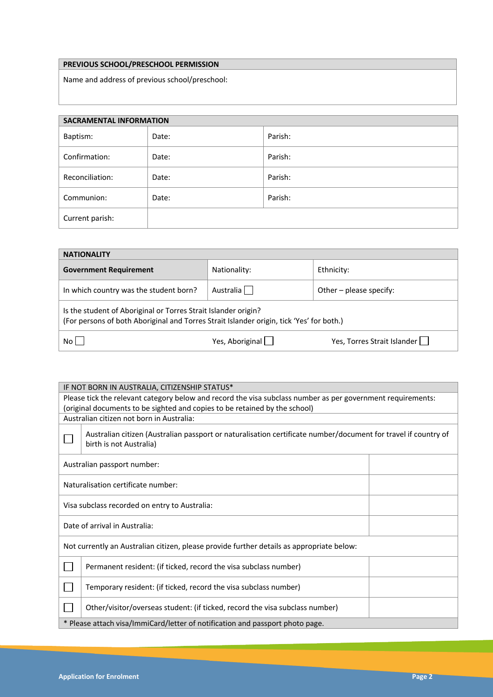## **PREVIOUS SCHOOL/PRESCHOOL PERMISSION**

Name and address of previous school/preschool:

| <b>SACRAMENTAL INFORMATION</b> |       |         |  |
|--------------------------------|-------|---------|--|
| Baptism:                       | Date: | Parish: |  |
| Confirmation:                  | Date: | Parish: |  |
| Reconciliation:                | Date: | Parish: |  |
| Communion:                     | Date: | Parish: |  |
| Current parish:                |       |         |  |

| <b>NATIONALITY</b>                                                                                                                                         |                 |                             |  |  |
|------------------------------------------------------------------------------------------------------------------------------------------------------------|-----------------|-----------------------------|--|--|
| <b>Government Requirement</b>                                                                                                                              | Nationality:    | Ethnicity:                  |  |  |
| In which country was the student born?                                                                                                                     | Australia       | Other – please specify:     |  |  |
| Is the student of Aboriginal or Torres Strait Islander origin?<br>(For persons of both Aboriginal and Torres Strait Islander origin, tick 'Yes' for both.) |                 |                             |  |  |
| No l                                                                                                                                                       | Yes, Aboriginal | Yes, Torres Strait Islander |  |  |

| IF NOT BORN IN AUSTRALIA, CITIZENSHIP STATUS*                                                                                             |  |  |  |  |
|-------------------------------------------------------------------------------------------------------------------------------------------|--|--|--|--|
| Please tick the relevant category below and record the visa subclass number as per government requirements:                               |  |  |  |  |
| (original documents to be sighted and copies to be retained by the school)                                                                |  |  |  |  |
| Australian citizen not born in Australia:                                                                                                 |  |  |  |  |
| Australian citizen (Australian passport or naturalisation certificate number/document for travel if country of<br>birth is not Australia) |  |  |  |  |
| Australian passport number:                                                                                                               |  |  |  |  |
| Naturalisation certificate number:                                                                                                        |  |  |  |  |
| Visa subclass recorded on entry to Australia:                                                                                             |  |  |  |  |
| Date of arrival in Australia:                                                                                                             |  |  |  |  |
| Not currently an Australian citizen, please provide further details as appropriate below:                                                 |  |  |  |  |
| Permanent resident: (if ticked, record the visa subclass number)                                                                          |  |  |  |  |
| Temporary resident: (if ticked, record the visa subclass number)                                                                          |  |  |  |  |
| Other/visitor/overseas student: (if ticked, record the visa subclass number)                                                              |  |  |  |  |
| * Please attach visa/ImmiCard/letter of notification and passport photo page.                                                             |  |  |  |  |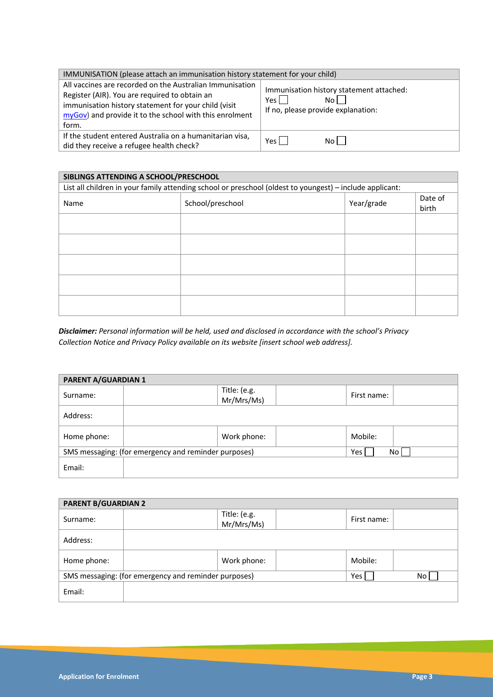| IMMUNISATION (please attach an immunisation history statement for your child)                                                                                                                                                         |                                                                                                 |  |  |  |
|---------------------------------------------------------------------------------------------------------------------------------------------------------------------------------------------------------------------------------------|-------------------------------------------------------------------------------------------------|--|--|--|
| All vaccines are recorded on the Australian Immunisation<br>Register (AIR). You are required to obtain an<br>immunisation history statement for your child (visit<br>myGov) and provide it to the school with this enrolment<br>form. | Immunisation history statement attached:<br>Yes l<br>Noll<br>If no, please provide explanation: |  |  |  |
| If the student entered Australia on a humanitarian visa,<br>did they receive a refugee health check?                                                                                                                                  | Noll<br>Yes l                                                                                   |  |  |  |

| SIBLINGS ATTENDING A SCHOOL/PRESCHOOL |                                                                                                          |            |                  |  |
|---------------------------------------|----------------------------------------------------------------------------------------------------------|------------|------------------|--|
|                                       | List all children in your family attending school or preschool (oldest to youngest) - include applicant: |            |                  |  |
| Name                                  | School/preschool                                                                                         | Year/grade | Date of<br>birth |  |
|                                       |                                                                                                          |            |                  |  |
|                                       |                                                                                                          |            |                  |  |
|                                       |                                                                                                          |            |                  |  |
|                                       |                                                                                                          |            |                  |  |
|                                       |                                                                                                          |            |                  |  |

*Disclaimer: Personal information will be held, used and disclosed in accordance with the school's Privacy Collection Notice and Privacy Policy available on its website [insert school web address].*

| <b>PARENT A/GUARDIAN 1</b> |                                                      |                            |             |      |
|----------------------------|------------------------------------------------------|----------------------------|-------------|------|
| Surname:                   |                                                      | Title: (e.g.<br>Mr/Mrs/Ms) | First name: |      |
| Address:                   |                                                      |                            |             |      |
| Home phone:                |                                                      | Work phone:                | Mobile:     |      |
|                            | SMS messaging: (for emergency and reminder purposes) |                            | Yes         | No l |
| Email:                     |                                                      |                            |             |      |

| <b>PARENT B/GUARDIAN 2</b> |                                                      |                            |             |    |
|----------------------------|------------------------------------------------------|----------------------------|-------------|----|
| Surname:                   |                                                      | Title: (e.g.<br>Mr/Mrs/Ms) | First name: |    |
| Address:                   |                                                      |                            |             |    |
| Home phone:                |                                                      | Work phone:                | Mobile:     |    |
|                            | SMS messaging: (for emergency and reminder purposes) |                            | Yes l       | No |
| Email:                     |                                                      |                            |             |    |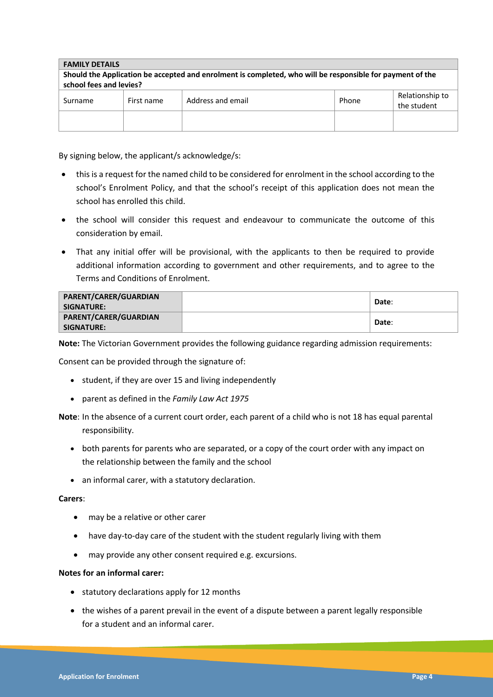| <b>FAMILY DETAILS</b>                                                                                                                |            |                   |       |                                |
|--------------------------------------------------------------------------------------------------------------------------------------|------------|-------------------|-------|--------------------------------|
| Should the Application be accepted and enrolment is completed, who will be responsible for payment of the<br>school fees and levies? |            |                   |       |                                |
| Surname                                                                                                                              | First name | Address and email | Phone | Relationship to<br>the student |
|                                                                                                                                      |            |                   |       |                                |

By signing below, the applicant/s acknowledge/s:

- this is a request for the named child to be considered for enrolment in the school according to the school's Enrolment Policy, and that the school's receipt of this application does not mean the school has enrolled this child.
- the school will consider this request and endeavour to communicate the outcome of this consideration by email.
- That any initial offer will be provisional, with the applicants to then be required to provide additional information according to government and other requirements, and to agree to the Terms and Conditions of Enrolment.

| PARENT/CARER/GUARDIAN<br>SIGNATURE: I | Date: |
|---------------------------------------|-------|
| PARENT/CARER/GUARDIAN<br>SIGNATURE: I | Date: |

**Note:** The Victorian Government provides the following guidance regarding admission requirements:

Consent can be provided through the signature of:

- student, if they are over 15 and living independently
- parent as defined in the *Family Law Act 1975*

**Note**: In the absence of a current court order, each parent of a child who is not 18 has equal parental responsibility.

- both parents for parents who are separated, or a copy of the court order with any impact on the relationship between the family and the school
- an informal carer, with a statutory declaration.

### **Carers**:

- may be a relative or other carer
- have day-to-day care of the student with the student regularly living with them
- may provide any other consent required e.g. excursions.

### **Notes for an informal carer:**

- statutory declarations apply for 12 months
- the wishes of a parent prevail in the event of a dispute between a parent legally responsible for a student and an informal carer.